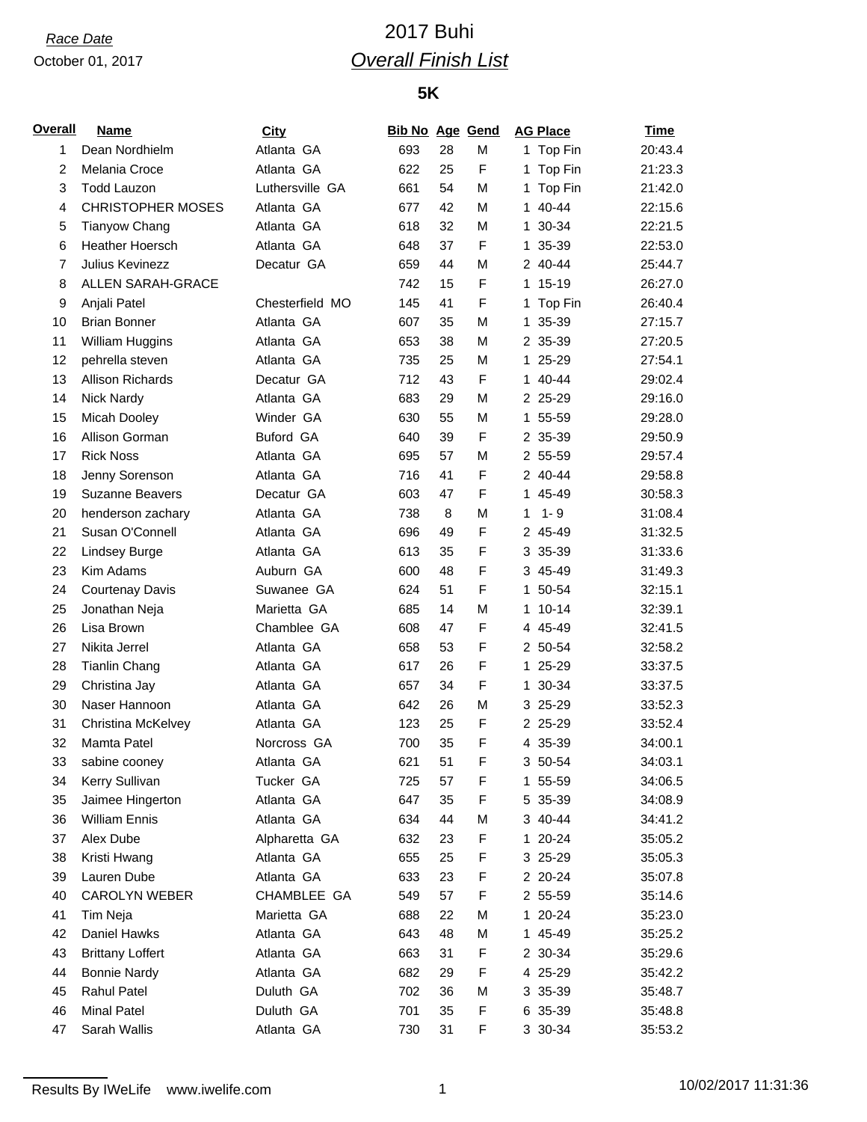### October 01, 2017

# *Race Date* 2017 Buhi *Overall Finish List*

## **5K**

| <u>Overall</u> | <b>Name</b>              | <b>City</b>     | <b>Bib No Age Gend</b> |    |   |              | <b>AG Place</b> | <b>Time</b> |
|----------------|--------------------------|-----------------|------------------------|----|---|--------------|-----------------|-------------|
| 1              | Dean Nordhielm           | Atlanta GA      | 693                    | 28 | M |              | 1 Top Fin       | 20:43.4     |
| 2              | Melania Croce            | Atlanta GA      | 622                    | 25 | F | 1            | Top Fin         | 21:23.3     |
| 3              | <b>Todd Lauzon</b>       | Luthersville GA | 661                    | 54 | M | 1.           | Top Fin         | 21:42.0     |
| 4              | <b>CHRISTOPHER MOSES</b> | Atlanta GA      | 677                    | 42 | M |              | 1 40-44         | 22:15.6     |
| 5              | <b>Tianyow Chang</b>     | Atlanta GA      | 618                    | 32 | M |              | 1 30-34         | 22:21.5     |
| 6              | <b>Heather Hoersch</b>   | Atlanta GA      | 648                    | 37 | F | 1.           | 35-39           | 22:53.0     |
| 7              | Julius Kevinezz          | Decatur GA      | 659                    | 44 | M |              | 2 40-44         | 25:44.7     |
| 8              | <b>ALLEN SARAH-GRACE</b> |                 | 742                    | 15 | F |              | 1 15-19         | 26:27.0     |
| 9              | Anjali Patel             | Chesterfield MO | 145                    | 41 | F |              | 1 Top Fin       | 26:40.4     |
| 10             | <b>Brian Bonner</b>      | Atlanta GA      | 607                    | 35 | M | 1.           | 35-39           | 27:15.7     |
| 11             | William Huggins          | Atlanta GA      | 653                    | 38 | M |              | 2 35-39         | 27:20.5     |
| 12             | pehrella steven          | Atlanta GA      | 735                    | 25 | M |              | 1 25-29         | 27:54.1     |
| 13             | <b>Allison Richards</b>  | Decatur GA      | 712                    | 43 | F | $\mathbf{1}$ | 40-44           | 29:02.4     |
| 14             | Nick Nardy               | Atlanta GA      | 683                    | 29 | M |              | 2 25-29         | 29:16.0     |
| 15             | Micah Dooley             | Winder GA       | 630                    | 55 | M |              | 1 55-59         | 29:28.0     |
| 16             | Allison Gorman           | Buford GA       | 640                    | 39 | F |              | 2 35-39         | 29:50.9     |
| 17             | <b>Rick Noss</b>         | Atlanta GA      | 695                    | 57 | М |              | 2 55-59         | 29:57.4     |
| 18             | Jenny Sorenson           | Atlanta GA      | 716                    | 41 | F |              | 2 40-44         | 29:58.8     |
| 19             | Suzanne Beavers          | Decatur GA      | 603                    | 47 | F |              | 1 45-49         | 30:58.3     |
| 20             | henderson zachary        | Atlanta GA      | 738                    | 8  | M | 1            | $1 - 9$         | 31:08.4     |
| 21             | Susan O'Connell          | Atlanta GA      | 696                    | 49 | F |              | 2 45-49         | 31:32.5     |
| 22             | Lindsey Burge            | Atlanta GA      | 613                    | 35 | F |              | 3 35-39         | 31:33.6     |
| 23             | Kim Adams                | Auburn GA       | 600                    | 48 | F |              | 3 45-49         | 31:49.3     |
| 24             | <b>Courtenay Davis</b>   | Suwanee GA      | 624                    | 51 | F |              | 1 50-54         | 32:15.1     |
| 25             | Jonathan Neja            | Marietta GA     | 685                    | 14 | М |              | $110-14$        | 32:39.1     |
| 26             | Lisa Brown               | Chamblee GA     | 608                    | 47 | F |              | 4 45-49         | 32:41.5     |
| 27             | Nikita Jerrel            | Atlanta GA      | 658                    | 53 | F |              | 2 50-54         | 32:58.2     |
| 28             | <b>Tianlin Chang</b>     | Atlanta GA      | 617                    | 26 | F |              | 1 25-29         | 33:37.5     |
| 29             | Christina Jay            | Atlanta GA      | 657                    | 34 | F |              | 1 30-34         | 33:37.5     |
| 30             | Naser Hannoon            | Atlanta GA      | 642                    | 26 | М |              | 3 25-29         | 33:52.3     |
| 31             | Christina McKelvey       | Atlanta GA      | 123                    | 25 | F |              | 2 25-29         | 33:52.4     |
| 32             | Mamta Patel              | Norcross GA     | 700                    | 35 | F |              | 4 35-39         | 34:00.1     |
| 33             | sabine cooney            | Atlanta GA      | 621                    | 51 | F |              | 3 50-54         | 34:03.1     |
| 34             | Kerry Sullivan           | Tucker GA       | 725                    | 57 | F |              | 1 55-59         | 34:06.5     |
| 35             | Jaimee Hingerton         | Atlanta GA      | 647                    | 35 | F |              | 5 35-39         | 34:08.9     |
| 36             | <b>William Ennis</b>     | Atlanta GA      | 634                    | 44 | M |              | 3 40-44         | 34:41.2     |
| 37             | Alex Dube                | Alpharetta GA   | 632                    | 23 | F |              | 1 20-24         | 35:05.2     |
| 38             | Kristi Hwang             | Atlanta GA      | 655                    | 25 | F |              | 3 25-29         | 35:05.3     |
| 39             | Lauren Dube              | Atlanta GA      | 633                    | 23 | F |              | 2 20-24         | 35:07.8     |
| 40             | CAROLYN WEBER            | CHAMBLEE GA     | 549                    | 57 | F |              | 2 55-59         | 35:14.6     |
| 41             | Tim Neja                 | Marietta GA     | 688                    | 22 | М |              | 1 20-24         | 35:23.0     |
| 42             | Daniel Hawks             | Atlanta GA      | 643                    | 48 | M |              | 1 45-49         | 35:25.2     |
| 43             | <b>Brittany Loffert</b>  | Atlanta GA      | 663                    | 31 | F |              | 2 30-34         | 35:29.6     |
| 44             | <b>Bonnie Nardy</b>      | Atlanta GA      | 682                    | 29 | F |              | 4 25-29         | 35:42.2     |
| 45             | <b>Rahul Patel</b>       | Duluth GA       | 702                    | 36 | М |              | 3 35-39         | 35:48.7     |
| 46             | <b>Minal Patel</b>       | Duluth GA       | 701                    | 35 | F |              | 6 35-39         | 35:48.8     |
| 47             | Sarah Wallis             | Atlanta GA      | 730                    | 31 | F |              | 3 30-34         | 35:53.2     |
|                |                          |                 |                        |    |   |              |                 |             |

Results By IWeLife www.iwelife.com 1 1 1 1 1 1 1 1 10/02/2017 11:31:36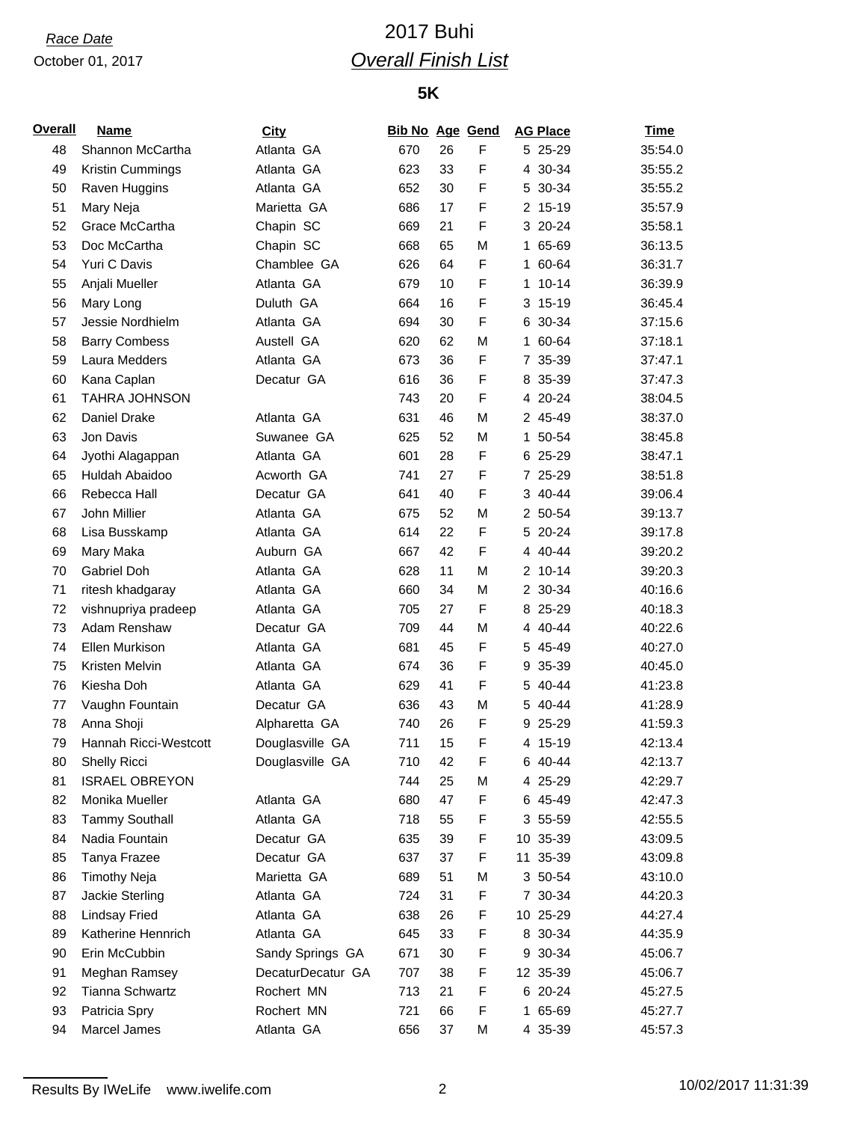### October 01, 2017

# *Race Date* 2017 Buhi *Overall Finish List*

## **5K**

| Overall | <b>Name</b>           | <b>City</b>       | <b>Bib No Age Gend</b> |    |             | <b>AG Place</b> | <b>Time</b> |
|---------|-----------------------|-------------------|------------------------|----|-------------|-----------------|-------------|
| 48      | Shannon McCartha      | Atlanta GA        | 670                    | 26 | F           | 5 25-29         | 35:54.0     |
| 49      | Kristin Cummings      | Atlanta GA        | 623                    | 33 | F           | 4 30-34         | 35:55.2     |
| 50      | Raven Huggins         | Atlanta GA        | 652                    | 30 | F           | 5 30-34         | 35:55.2     |
| 51      | Mary Neja             | Marietta GA       | 686                    | 17 | F           | 2 15-19         | 35:57.9     |
| 52      | Grace McCartha        | Chapin SC         | 669                    | 21 | F           | 3 20-24         | 35:58.1     |
| 53      | Doc McCartha          | Chapin SC         | 668                    | 65 | M           | 1 65-69         | 36:13.5     |
| 54      | Yuri C Davis          | Chamblee GA       | 626                    | 64 | $\mathsf F$ | 1 60-64         | 36:31.7     |
| 55      | Anjali Mueller        | Atlanta GA        | 679                    | 10 | F           | $1 10 - 14$     | 36:39.9     |
| 56      | Mary Long             | Duluth GA         | 664                    | 16 | F           | 3 15-19         | 36:45.4     |
| 57      | Jessie Nordhielm      | Atlanta GA        | 694                    | 30 | F           | 6 30-34         | 37:15.6     |
| 58      | <b>Barry Combess</b>  | Austell GA        | 620                    | 62 | M           | 1 60-64         | 37:18.1     |
| 59      | Laura Medders         | Atlanta GA        | 673                    | 36 | F           | 7 35-39         | 37:47.1     |
| 60      | Kana Caplan           | Decatur GA        | 616                    | 36 | F           | 8 35-39         | 37:47.3     |
| 61      | <b>TAHRA JOHNSON</b>  |                   | 743                    | 20 | F           | 4 20-24         | 38:04.5     |
| 62      | Daniel Drake          | Atlanta GA        | 631                    | 46 | M           | 2 45-49         | 38:37.0     |
| 63      | Jon Davis             | Suwanee GA        | 625                    | 52 | M           | 1 50-54         | 38:45.8     |
| 64      | Jyothi Alagappan      | Atlanta GA        | 601                    | 28 | F           | 6 25-29         | 38:47.1     |
| 65      | Huldah Abaidoo        | Acworth GA        | 741                    | 27 | F           | 7 25-29         | 38:51.8     |
| 66      | Rebecca Hall          | Decatur GA        | 641                    | 40 | F           | 3 40-44         | 39:06.4     |
| 67      | John Millier          | Atlanta GA        | 675                    | 52 | M           | 2 50-54         | 39:13.7     |
| 68      | Lisa Busskamp         | Atlanta GA        | 614                    | 22 | F           | 5 20-24         | 39:17.8     |
| 69      | Mary Maka             | Auburn GA         | 667                    | 42 | F           | 4 40-44         | 39:20.2     |
| 70      | Gabriel Doh           | Atlanta GA        | 628                    | 11 | M           | $2 10 - 14$     | 39:20.3     |
| 71      | ritesh khadgaray      | Atlanta GA        | 660                    | 34 | M           | 2 30-34         | 40:16.6     |
| 72      | vishnupriya pradeep   | Atlanta GA        | 705                    | 27 | F           | 8 25-29         | 40:18.3     |
| 73      | Adam Renshaw          | Decatur GA        | 709                    | 44 | М           | 4 40-44         | 40:22.6     |
| 74      | Ellen Murkison        | Atlanta GA        | 681                    | 45 | F           | 5 45-49         | 40:27.0     |
| 75      | Kristen Melvin        | Atlanta GA        | 674                    | 36 | F           | 9 35-39         | 40:45.0     |
| 76      | Kiesha Doh            | Atlanta GA        | 629                    | 41 | F           | 5 40-44         | 41:23.8     |
| 77      | Vaughn Fountain       | Decatur GA        | 636                    | 43 | M           | 5 40-44         | 41:28.9     |
| 78      | Anna Shoji            | Alpharetta GA     | 740                    | 26 | F           | 9 25-29         | 41:59.3     |
| 79      | Hannah Ricci-Westcott | Douglasville GA   | 711                    | 15 | F           | 4 15-19         | 42:13.4     |
| 80      | <b>Shelly Ricci</b>   | Douglasville GA   | 710                    | 42 | F           | 6 40-44         | 42:13.7     |
| 81      | <b>ISRAEL OBREYON</b> |                   | 744                    | 25 | М           | 4 25-29         | 42:29.7     |
| 82      | Monika Mueller        | Atlanta GA        | 680                    | 47 | F           | 6 45-49         | 42:47.3     |
| 83      | <b>Tammy Southall</b> | Atlanta GA        | 718                    | 55 | F           | 3 55-59         | 42:55.5     |
| 84      | Nadia Fountain        | Decatur GA        | 635                    | 39 | F           | 10 35-39        | 43:09.5     |
| 85      | Tanya Frazee          | Decatur GA        | 637                    | 37 | F           | 11 35-39        | 43:09.8     |
| 86      | <b>Timothy Neja</b>   | Marietta GA       | 689                    | 51 | М           | 3 50-54         | 43:10.0     |
| 87      | Jackie Sterling       | Atlanta GA        | 724                    | 31 | F           | 7 30-34         | 44:20.3     |
| 88      | <b>Lindsay Fried</b>  | Atlanta GA        | 638                    | 26 | F           | 10 25-29        | 44:27.4     |
| 89      | Katherine Hennrich    | Atlanta GA        | 645                    | 33 | F           | 8 30-34         | 44:35.9     |
| 90      | Erin McCubbin         | Sandy Springs GA  | 671                    | 30 | F           | 9 30-34         | 45:06.7     |
| 91      | Meghan Ramsey         | DecaturDecatur GA | 707                    | 38 | F           | 12 35-39        | 45:06.7     |
| 92      | Tianna Schwartz       | Rochert MN        | 713                    | 21 | F           | 6 20-24         | 45:27.5     |
| 93      | Patricia Spry         | Rochert MN        | 721                    | 66 | F           | 1 65-69         | 45:27.7     |
| 94      | Marcel James          | Atlanta GA        | 656                    | 37 | M           | 4 35-39         | 45:57.3     |
|         |                       |                   |                        |    |             |                 |             |